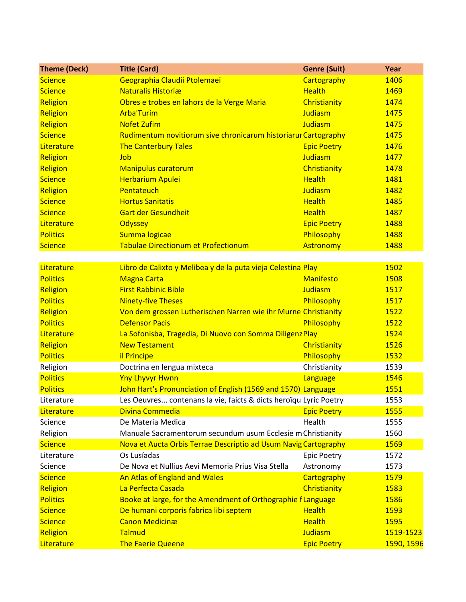| <b>Theme (Deck)</b> | <b>Title (Card)</b>                                               | <b>Genre (Suit)</b> | Year       |
|---------------------|-------------------------------------------------------------------|---------------------|------------|
| <b>Science</b>      | Geographia Claudii Ptolemaei                                      | Cartography         | 1406       |
| <b>Science</b>      | <b>Naturalis Historiæ</b>                                         | <b>Health</b>       | 1469       |
| Religion            | Obres e trobes en lahors de la Verge Maria                        | Christianity        | 1474       |
| Religion            | <b>Arba'Turim</b>                                                 | Judiasm             | 1475       |
| Religion            | <b>Nofet Zufim</b>                                                | Judiasm             | 1475       |
| <b>Science</b>      | Rudimentum novitiorum sive chronicarum historiarur Cartography    |                     | 1475       |
| Literature          | <b>The Canterbury Tales</b>                                       | <b>Epic Poetry</b>  | 1476       |
| Religion            | Job                                                               | Judiasm             | 1477       |
| Religion            | <b>Manipulus curatorum</b>                                        | Christianity        | 1478       |
| <b>Science</b>      | <b>Herbarium Apulei</b>                                           | <b>Health</b>       | 1481       |
| Religion            | Pentateuch                                                        | Judiasm             | 1482       |
| <b>Science</b>      | <b>Hortus Sanitatis</b>                                           | <b>Health</b>       | 1485       |
| <b>Science</b>      | <b>Gart der Gesundheit</b>                                        | <b>Health</b>       | 1487       |
| Literature          | <b>Odyssey</b>                                                    | <b>Epic Poetry</b>  | 1488       |
| <b>Politics</b>     | Summa logicae                                                     | Philosophy          | 1488       |
| <b>Science</b>      | <b>Tabulae Directionum et Profectionum</b>                        | Astronomy           | 1488       |
|                     |                                                                   |                     |            |
| Literature          | Libro de Calixto y Melibea y de la puta vieja Celestina Play      |                     | 1502       |
| <b>Politics</b>     | <b>Magna Carta</b>                                                | <b>Manifesto</b>    | 1508       |
| Religion            | <b>First Rabbinic Bible</b>                                       | Judiasm             | 1517       |
| <b>Politics</b>     | <b>Ninety-five Theses</b>                                         | Philosophy          | 1517       |
| Religion            | Von dem grossen Lutherischen Narren wie ihr Murne Christianity    |                     | 1522       |
| <b>Politics</b>     | <b>Defensor Pacis</b>                                             | Philosophy          | 1522       |
| Literature          | La Sofonisba, Tragedia, Di Nuovo con Somma Diligenz Play          |                     | 1524       |
| Religion            | <b>New Testament</b>                                              | Christianity        | 1526       |
| <b>Politics</b>     | il Principe                                                       | Philosophy          | 1532       |
| Religion            | Doctrina en lengua mixteca                                        | Christianity        | 1539       |
| <b>Politics</b>     | <b>Yny Lhyvyr Hwnn</b>                                            | Language            | 1546       |
| <b>Politics</b>     | John Hart's Pronunciation of English (1569 and 1570) Language     |                     | 1551       |
| Literature          | Les Oeuvres contenans la vie, faicts & dicts heroïqu Lyric Poetry |                     | 1553       |
| Literature          | Divina Commedia                                                   | <b>Epic Poetry</b>  | 1555       |
| Science             | De Materia Medica                                                 | Health              | 1555       |
| Religion            | Manuale Sacramentorum secundum usum Ecclesie m Christianity       |                     | 1560       |
| <b>Science</b>      | Nova et Aucta Orbis Terrae Descriptio ad Usum Navig Cartography   |                     | 1569       |
| Literature          | Os Lusíadas                                                       | <b>Epic Poetry</b>  | 1572       |
| Science             | De Nova et Nullius Aevi Memoria Prius Visa Stella                 | Astronomy           | 1573       |
| <b>Science</b>      | An Atlas of England and Wales                                     | Cartography         | 1579       |
| Religion            | La Perfecta Casada                                                | Christianity        | 1583       |
| <b>Politics</b>     | Booke at large, for the Amendment of Orthographie f Language      |                     | 1586       |
| <b>Science</b>      | De humani corporis fabrica libi septem                            | <b>Health</b>       | 1593       |
| <b>Science</b>      | <b>Canon Medicinæ</b>                                             | <b>Health</b>       | 1595       |
| Religion            | Talmud                                                            | Judiasm             | 1519-1523  |
| Literature          | <b>The Faerie Queene</b>                                          | <b>Epic Poetry</b>  | 1590, 1596 |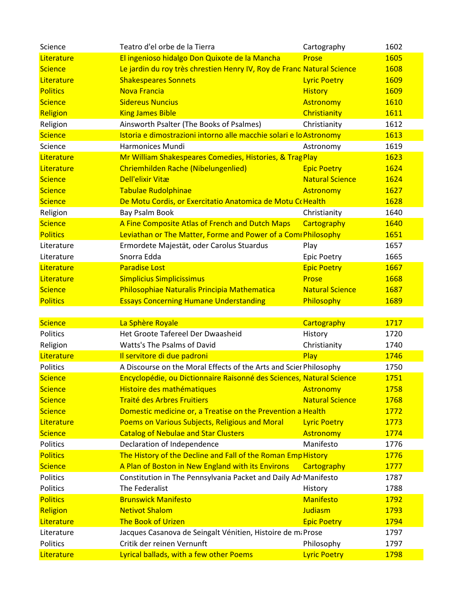| Science         | Teatro d'el orbe de la Tierra                                          | Cartography            | 1602 |
|-----------------|------------------------------------------------------------------------|------------------------|------|
| Literature      | El ingenioso hidalgo Don Quixote de la Mancha                          | Prose                  | 1605 |
| <b>Science</b>  | Le jardin du roy très chrestien Henry IV, Roy de Franc Natural Science |                        | 1608 |
| Literature      | <b>Shakespeares Sonnets</b>                                            | <b>Lyric Poetry</b>    | 1609 |
| <b>Politics</b> | <b>Nova Francia</b>                                                    | <b>History</b>         | 1609 |
| <b>Science</b>  | <b>Sidereus Nuncius</b>                                                | <b>Astronomy</b>       | 1610 |
| Religion        | <b>King James Bible</b>                                                | Christianity           | 1611 |
| Religion        | Ainsworth Psalter (The Books of Psalmes)                               | Christianity           | 1612 |
| <b>Science</b>  | Istoria e dimostrazioni intorno alle macchie solari e lo Astronomy     |                        | 1613 |
| Science         | Harmonices Mundi                                                       | Astronomy              | 1619 |
| Literature      | Mr William Shakespeares Comedies, Histories, & Trag Play               |                        | 1623 |
| Literature      | Chriemhilden Rache (Nibelungenlied)                                    | <b>Epic Poetry</b>     | 1624 |
| <b>Science</b>  | <b>Dell'elixir Vitæ</b>                                                | <b>Natural Science</b> | 1624 |
| <b>Science</b>  | <b>Tabulae Rudolphinae</b>                                             | Astronomy              | 1627 |
| <b>Science</b>  | De Motu Cordis, or Exercitatio Anatomica de Motu CoHealth              |                        | 1628 |
| Religion        | <b>Bay Psalm Book</b>                                                  | Christianity           | 1640 |
| <b>Science</b>  | A Fine Composite Atlas of French and Dutch Maps                        | Cartography            | 1640 |
| <b>Politics</b> | Leviathan or The Matter, Forme and Power of a Comi Philosophy          |                        | 1651 |
| Literature      | Ermordete Majestät, oder Carolus Stuardus                              | Play                   | 1657 |
| Literature      | Snorra Edda                                                            | <b>Epic Poetry</b>     | 1665 |
| Literature      | <b>Paradise Lost</b>                                                   | <b>Epic Poetry</b>     | 1667 |
| Literature      | <b>Simplicius Simplicissimus</b>                                       | Prose                  | 1668 |
| <b>Science</b>  | Philosophiae Naturalis Principia Mathematica                           | <b>Natural Science</b> | 1687 |
| <b>Politics</b> | <b>Essays Concerning Humane Understanding</b>                          | Philosophy             | 1689 |
|                 |                                                                        |                        |      |
| <b>Science</b>  | La Sphère Royale                                                       | Cartography            | 1717 |
| Politics        | Het Groote Tafereel Der Dwaasheid                                      | History                | 1720 |
| Religion        | Watts's The Psalms of David                                            | Christianity           | 1740 |
| Literature      | Il servitore di due padroni                                            | Play                   | 1746 |
| Politics        | A Discourse on the Moral Effects of the Arts and Scier Philosophy      |                        | 1750 |
| <b>Science</b>  | Encyclopédie, ou Dictionnaire Raisonné des Sciences, Natural Science   |                        | 1751 |
| <b>Science</b>  | Histoire des mathématiques                                             | Astronomy              | 1758 |
| <b>Science</b>  | <b>Traité des Arbres Fruitiers</b>                                     | <b>Natural Science</b> | 1768 |
| <b>Science</b>  | Domestic medicine or, a Treatise on the Prevention a Health            |                        | 1772 |
| Literature      | Poems on Various Subjects, Religious and Moral                         | <b>Lyric Poetry</b>    | 1773 |
| <b>Science</b>  | <b>Catalog of Nebulae and Star Clusters</b>                            | Astronomy              | 1774 |
| Politics        | Declaration of Independence                                            | Manifesto              | 1776 |
| <b>Politics</b> | The History of the Decline and Fall of the Roman Emp History           |                        | 1776 |
| <b>Science</b>  | A Plan of Boston in New England with its Environs                      | Cartography            | 1777 |
| Politics        | Constitution in The Pennsylvania Packet and Daily Ad Manifesto         |                        | 1787 |
| Politics        | The Federalist                                                         | History                | 1788 |
| <b>Politics</b> | <b>Brunswick Manifesto</b>                                             | <b>Manifesto</b>       | 1792 |
| Religion        | <b>Netivot Shalom</b>                                                  | Judiasm                | 1793 |
| Literature      | <b>The Book of Urizen</b>                                              | <b>Epic Poetry</b>     | 1794 |
| Literature      | Jacques Casanova de Seingalt Vénitien, Histoire de ma Prose            |                        | 1797 |
| Politics        | Critik der reinen Vernunft                                             | Philosophy             | 1797 |
| Literature      | Lyrical ballads, with a few other Poems                                | <b>Lyric Poetry</b>    | 1798 |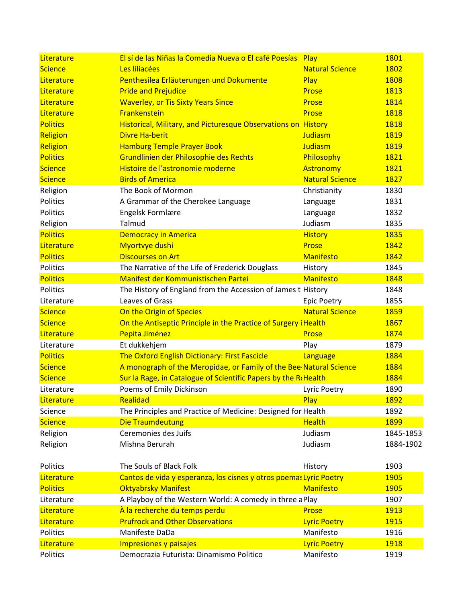| Literature                                       | El sí de las Niñas la Comedia Nueva o El café Poesías Play                                                                     |                                                                      | 1801                         |
|--------------------------------------------------|--------------------------------------------------------------------------------------------------------------------------------|----------------------------------------------------------------------|------------------------------|
| <b>Science</b>                                   | Les liliacées                                                                                                                  | <b>Natural Science</b>                                               | <b>1802</b>                  |
| Literature                                       | Penthesilea Erläuterungen und Dokumente                                                                                        | Play                                                                 | 1808                         |
| Literature                                       | <b>Pride and Prejudice</b>                                                                                                     | Prose                                                                | 1813                         |
| Literature                                       | <b>Waverley, or Tis Sixty Years Since</b>                                                                                      | Prose                                                                | 1814                         |
| Literature                                       | Frankenstein                                                                                                                   | Prose                                                                | 1818                         |
| <b>Politics</b>                                  | Historical, Military, and Picturesque Observations on History                                                                  |                                                                      | 1818                         |
| Religion                                         | <b>Divre Ha-berit</b>                                                                                                          | Judiasm                                                              | 1819                         |
| Religion                                         | <b>Hamburg Temple Prayer Book</b>                                                                                              | Judiasm                                                              | 1819                         |
| <b>Politics</b>                                  | Grundlinien der Philosophie des Rechts                                                                                         | Philosophy                                                           | 1821                         |
| <b>Science</b>                                   | Histoire de l'astronomie moderne                                                                                               | Astronomy                                                            | 1821                         |
| <b>Science</b>                                   | <b>Birds of America</b>                                                                                                        | <b>Natural Science</b>                                               | 1827                         |
| Religion                                         | The Book of Mormon                                                                                                             | Christianity                                                         | 1830                         |
| Politics                                         | A Grammar of the Cherokee Language                                                                                             | Language                                                             | 1831                         |
| Politics                                         | <b>Engelsk Formlære</b>                                                                                                        | Language                                                             | 1832                         |
| Religion                                         | Talmud                                                                                                                         | Judiasm                                                              | 1835                         |
| <b>Politics</b>                                  | <b>Democracy in America</b>                                                                                                    | <b>History</b>                                                       | 1835                         |
| Literature                                       | Myortvye dushi                                                                                                                 | Prose                                                                | 1842                         |
| <b>Politics</b>                                  | <b>Discourses on Art</b>                                                                                                       | <b>Manifesto</b>                                                     | 1842                         |
| Politics                                         | The Narrative of the Life of Frederick Douglass                                                                                | History                                                              | 1845                         |
| <b>Politics</b>                                  | Manifest der Kommunistischen Partei                                                                                            | <b>Manifesto</b>                                                     | 1848                         |
| Politics                                         | The History of England from the Accession of James t History                                                                   |                                                                      | 1848                         |
| Literature                                       | Leaves of Grass                                                                                                                | <b>Epic Poetry</b>                                                   | 1855                         |
| <b>Science</b>                                   | On the Origin of Species                                                                                                       | <b>Natural Science</b>                                               | <b>1859</b>                  |
| <b>Science</b>                                   | On the Antiseptic Principle in the Practice of Surgery i Health                                                                |                                                                      | 1867                         |
| Literature                                       | Pepita Jiménez                                                                                                                 | Prose                                                                | 1874                         |
| Literature                                       | Et dukkehjem                                                                                                                   | Play                                                                 | 1879                         |
| <b>Politics</b>                                  | <b>The Oxford English Dictionary: First Fascicle</b>                                                                           | Language                                                             | 1884                         |
| <b>Science</b>                                   | A monograph of the Meropidae, or Family of the Bee Natural Science                                                             |                                                                      | 1884                         |
| <b>Science</b>                                   | Sur la Rage, in Catalogue of Scientific Papers by the R Health                                                                 |                                                                      | 1884                         |
| Literature                                       | Poems of Emily Dickinson                                                                                                       | <b>Lyric Poetry</b>                                                  | 1890                         |
| Literature                                       | Realidad                                                                                                                       | Play                                                                 | 1892                         |
| Science                                          | The Principles and Practice of Medicine: Designed for Health                                                                   |                                                                      | 1892                         |
| <b>Science</b>                                   | <b>Die Traumdeutung</b>                                                                                                        | <b>Health</b>                                                        | <b>1899</b>                  |
| Religion                                         | Ceremonies des Juifs                                                                                                           | Judiasm                                                              | 1845-1853                    |
| Religion                                         | Mishna Berurah                                                                                                                 | Judiasm                                                              | 1884-1902                    |
| Politics                                         | The Souls of Black Folk                                                                                                        | History                                                              | 1903                         |
| Literature                                       | Cantos de vida y esperanza, los cisnes y otros poemas Lyric Poetry                                                             |                                                                      | 1905                         |
| <b>Politics</b>                                  | <b>Oktyabrsky Manifest</b>                                                                                                     | <b>Manifesto</b>                                                     | 1905                         |
| Literature                                       | A Playboy of the Western World: A comedy in three a Play                                                                       |                                                                      | 1907                         |
| Literature                                       | À la recherche du temps perdu                                                                                                  | Prose                                                                | 1913                         |
|                                                  |                                                                                                                                |                                                                      |                              |
|                                                  |                                                                                                                                |                                                                      |                              |
|                                                  |                                                                                                                                |                                                                      |                              |
|                                                  |                                                                                                                                |                                                                      |                              |
| Literature<br>Politics<br>Literature<br>Politics | <b>Prufrock and Other Observations</b><br>Manifeste DaDa<br>Impresiones y paisajes<br>Democrazia Futurista: Dinamismo Politico | <b>Lyric Poetry</b><br>Manifesto<br><b>Lyric Poetry</b><br>Manifesto | 1915<br>1916<br>1918<br>1919 |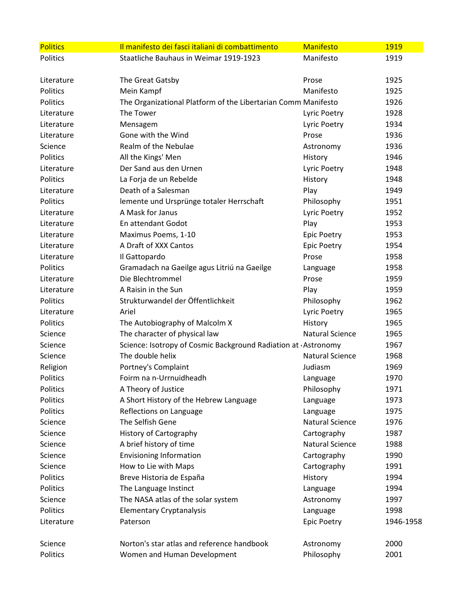| <b>Politics</b> | Il manifesto dei fasci italiani di combattimento              | <b>Manifesto</b>       | 1919      |
|-----------------|---------------------------------------------------------------|------------------------|-----------|
| Politics        | Staatliche Bauhaus in Weimar 1919-1923                        | Manifesto              | 1919      |
|                 |                                                               |                        |           |
| Literature      | The Great Gatsby                                              | Prose                  | 1925      |
| Politics        | Mein Kampf                                                    | Manifesto              | 1925      |
| Politics        | The Organizational Platform of the Libertarian Comm Manifesto |                        | 1926      |
| Literature      | The Tower                                                     | Lyric Poetry           | 1928      |
| Literature      | Mensagem                                                      | Lyric Poetry           | 1934      |
| Literature      | Gone with the Wind                                            | Prose                  | 1936      |
| Science         | Realm of the Nebulae                                          | Astronomy              | 1936      |
| Politics        | All the Kings' Men                                            | History                | 1946      |
| Literature      | Der Sand aus den Urnen                                        | Lyric Poetry           | 1948      |
| Politics        | La Forja de un Rebelde                                        | History                | 1948      |
| Literature      | Death of a Salesman                                           | Play                   | 1949      |
| Politics        | lemente und Ursprünge totaler Herrschaft                      | Philosophy             | 1951      |
| Literature      | A Mask for Janus                                              | Lyric Poetry           | 1952      |
| Literature      | En attendant Godot                                            | Play                   | 1953      |
| Literature      | Maximus Poems, 1-10                                           | <b>Epic Poetry</b>     | 1953      |
| Literature      | A Draft of XXX Cantos                                         | <b>Epic Poetry</b>     | 1954      |
| Literature      | Il Gattopardo                                                 | Prose                  | 1958      |
| Politics        | Gramadach na Gaeilge agus Litriú na Gaeilge                   | Language               | 1958      |
| Literature      | Die Blechtrommel                                              | Prose                  | 1959      |
| Literature      | A Raisin in the Sun                                           | Play                   | 1959      |
| Politics        | Strukturwandel der Öffentlichkeit                             | Philosophy             | 1962      |
| Literature      | Ariel                                                         | Lyric Poetry           | 1965      |
| Politics        | The Autobiography of Malcolm X                                | History                | 1965      |
| Science         | The character of physical law                                 | <b>Natural Science</b> | 1965      |
| Science         | Science: Isotropy of Cosmic Background Radiation at Astronomy |                        | 1967      |
| Science         | The double helix                                              | <b>Natural Science</b> | 1968      |
| Religion        | Portney's Complaint                                           | Judiasm                | 1969      |
| Politics        | Foirm na n-Urrnuidheadh                                       | Language               | 1970      |
| Politics        | A Theory of Justice                                           | Philosophy             | 1971      |
| Politics        | A Short History of the Hebrew Language                        | Language               | 1973      |
| Politics        | Reflections on Language                                       | Language               | 1975      |
| Science         | The Selfish Gene                                              | <b>Natural Science</b> | 1976      |
| Science         | History of Cartography                                        | Cartography            | 1987      |
| Science         | A brief history of time                                       | <b>Natural Science</b> | 1988      |
| Science         | <b>Envisioning Information</b>                                | Cartography            | 1990      |
| Science         | How to Lie with Maps                                          | Cartography            | 1991      |
| Politics        | Breve Historia de España                                      | History                | 1994      |
| Politics        | The Language Instinct                                         | Language               | 1994      |
| Science         | The NASA atlas of the solar system                            | Astronomy              | 1997      |
| Politics        | <b>Elementary Cryptanalysis</b>                               | Language               | 1998      |
| Literature      | Paterson                                                      | <b>Epic Poetry</b>     | 1946-1958 |
|                 |                                                               |                        |           |
| Science         | Norton's star atlas and reference handbook                    | Astronomy              | 2000      |
| Politics        | Women and Human Development                                   | Philosophy             | 2001      |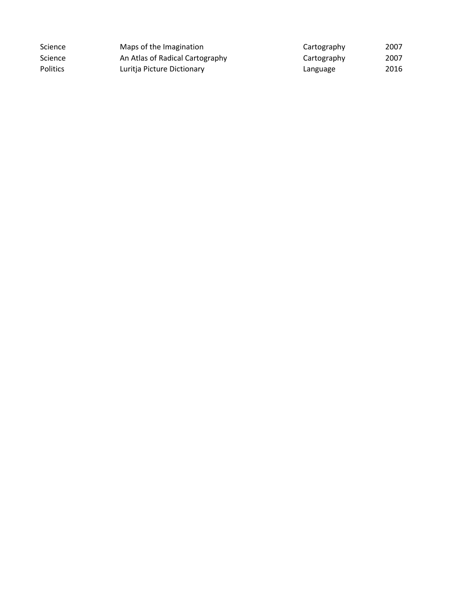| Science         | Maps of the Imagination         | Cartography | 2007 |
|-----------------|---------------------------------|-------------|------|
| Science         | An Atlas of Radical Cartography | Cartography | 2007 |
| <b>Politics</b> | Luritia Picture Dictionary      | Language    | 2016 |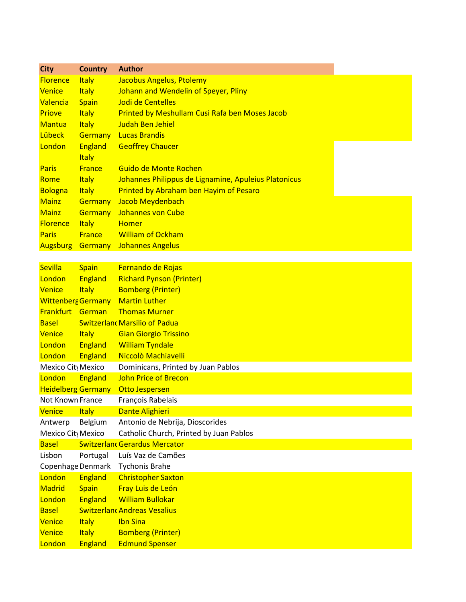| <b>City</b>               | <b>Country</b>          | <b>Author</b>                                        |
|---------------------------|-------------------------|------------------------------------------------------|
| <b>Florence</b>           | <b>Italy</b>            | Jacobus Angelus, Ptolemy                             |
| <b>Venice</b>             | <b>Italy</b>            | Johann and Wendelin of Speyer, Pliny                 |
| Valencia                  | <b>Spain</b>            | Jodi de Centelles                                    |
| <b>Priove</b>             | <b>Italy</b>            | Printed by Meshullam Cusi Rafa ben Moses Jacob       |
| <b>Mantua</b>             | <b>Italy</b>            | <b>Judah Ben Jehiel</b>                              |
| Lübeck                    | <b>Germany</b>          | <b>Lucas Brandis</b>                                 |
| London                    | England<br><b>Italy</b> | <b>Geoffrey Chaucer</b>                              |
| <b>Paris</b>              | <b>France</b>           | Guido de Monte Rochen                                |
| Rome                      | <b>Italy</b>            | Johannes Philippus de Lignamine, Apuleius Platonicus |
| Bologna                   | <b>Italy</b>            | Printed by Abraham ben Hayim of Pesaro               |
| <b>Mainz</b>              | <b>Germany</b>          | Jacob Meydenbach                                     |
| <b>Mainz</b>              | <b>Germany</b>          | Johannes von Cube                                    |
| <b>Florence</b>           | <b>Italy</b>            | <b>Homer</b>                                         |
| <b>Paris</b>              | <b>France</b>           | <b>William of Ockham</b>                             |
| <b>Augsburg</b>           | <b>Germany</b>          | <b>Johannes Angelus</b>                              |
|                           |                         |                                                      |
| <b>Sevilla</b>            | <b>Spain</b>            | Fernando de Rojas                                    |
| London                    | <b>England</b>          | <b>Richard Pynson (Printer)</b>                      |
| <b>Venice</b>             | <b>Italy</b>            | <b>Bomberg (Printer)</b>                             |
| <b>Wittenberg Germany</b> |                         | <b>Martin Luther</b>                                 |
| Frankfurt German          |                         | <b>Thomas Murner</b>                                 |
| <b>Basel</b>              |                         | <b>Switzerlant Marsilio of Padua</b>                 |
| <b>Venice</b>             | <b>Italy</b>            | <b>Gian Giorgio Trissino</b>                         |
| London                    | England                 | <b>William Tyndale</b>                               |
| London                    | England                 | Niccolò Machiavelli                                  |
| Mexico City Mexico        |                         | Dominicans, Printed by Juan Pablos                   |
| London                    | England                 | <b>John Price of Brecon</b>                          |
| <b>Heidelberg Germany</b> |                         | Otto Jespersen                                       |
| Not Known France          |                         | François Rabelais                                    |
| <b>Venice</b>             | <b>Italy</b>            | <b>Dante Alighieri</b>                               |
| Antwerp                   | Belgium                 | Antonio de Nebrija, Dioscorides                      |
| Mexico City Mexico        |                         | Catholic Church, Printed by Juan Pablos              |
| <b>Basel</b>              |                         | <b>Switzerlant Gerardus Mercator</b>                 |
| Lisbon                    | Portugal                | Luís Vaz de Camões                                   |
| Copenhage Denmark         |                         | <b>Tychonis Brahe</b>                                |
| London                    | <b>England</b>          | <b>Christopher Saxton</b>                            |
| <b>Madrid</b>             | <b>Spain</b>            | Fray Luis de León                                    |
| London                    | England                 | <b>William Bullokar</b>                              |
| <b>Basel</b>              |                         | <b>Switzerlant Andreas Vesalius</b>                  |
| <b>Venice</b>             | <b>Italy</b>            | <b>Ibn Sina</b>                                      |
| <b>Venice</b>             | <b>Italy</b>            | <b>Bomberg (Printer)</b>                             |
| London                    | England                 | <b>Edmund Spenser</b>                                |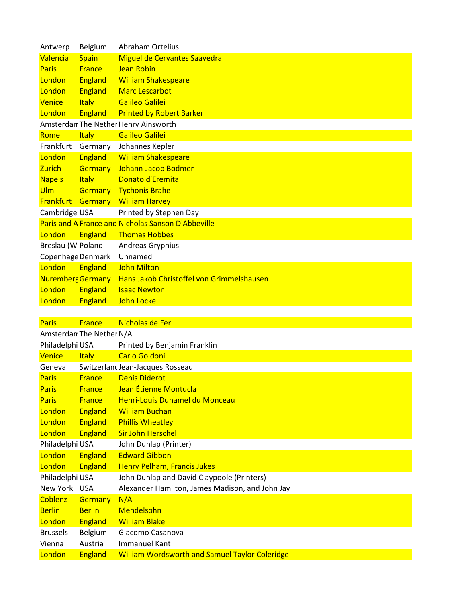| Antwerp                  | <b>Belgium</b> | <b>Abraham Ortelius</b>                            |
|--------------------------|----------------|----------------------------------------------------|
| Valencia                 | <b>Spain</b>   | Miguel de Cervantes Saavedra                       |
| <b>Paris</b>             | <b>France</b>  | <b>Jean Robin</b>                                  |
| London                   | <b>England</b> | <b>William Shakespeare</b>                         |
| London                   | <b>England</b> | <b>Marc Lescarbot</b>                              |
| Venice                   | <b>Italy</b>   | <b>Galileo Galilei</b>                             |
| London                   | <b>England</b> | <b>Printed by Robert Barker</b>                    |
|                          |                | Amsterdan The Nether Henry Ainsworth               |
| Rome                     | <b>Italy</b>   | <b>Galileo Galilei</b>                             |
| Frankfurt                | Germany        | Johannes Kepler                                    |
| London                   | <b>England</b> | <b>William Shakespeare</b>                         |
| <b>Zurich</b>            | <b>Germany</b> | Johann-Jacob Bodmer                                |
| <b>Napels</b>            | <b>Italy</b>   | Donato d'Eremita                                   |
| Ulm                      | <b>Germany</b> | <b>Tychonis Brahe</b>                              |
| <b>Frankfurt Germany</b> |                | <b>William Harvey</b>                              |
| Cambridge USA            |                | Printed by Stephen Day                             |
|                          |                | Paris and A France and Nicholas Sanson D'Abbeville |
| London                   | <b>England</b> | <b>Thomas Hobbes</b>                               |
| Breslau (W Poland        |                | Andreas Gryphius                                   |
| Copenhage Denmark        |                | Unnamed                                            |
| London                   | <b>England</b> | <b>John Milton</b>                                 |
| <b>Nuremberg Germany</b> |                | Hans Jakob Christoffel von Grimmelshausen          |
| London                   | <b>England</b> | <b>Isaac Newton</b>                                |
| London                   | <b>England</b> | <b>John Locke</b>                                  |
|                          |                |                                                    |
| Paris                    | <b>France</b>  | Nicholas de Fer                                    |

| Amsterdan The Nether N/A |                |                                                       |
|--------------------------|----------------|-------------------------------------------------------|
| Philadelphi USA          |                | Printed by Benjamin Franklin                          |
| Venice                   | <b>Italy</b>   | <b>Carlo Goldoni</b>                                  |
| Geneva                   |                | Switzerlanc Jean-Jacques Rosseau                      |
| <b>Paris</b>             | <b>France</b>  | <b>Denis Diderot</b>                                  |
| <b>Paris</b>             | <b>France</b>  | Jean Étienne Montucla                                 |
| <b>Paris</b>             | <b>France</b>  | Henri-Louis Duhamel du Monceau                        |
| London                   | <b>England</b> | <b>William Buchan</b>                                 |
| London                   | <b>England</b> | <b>Phillis Wheatley</b>                               |
| London                   | <b>England</b> | <b>Sir John Herschel</b>                              |
| Philadelphi USA          |                | John Dunlap (Printer)                                 |
| London                   | <b>England</b> | <b>Edward Gibbon</b>                                  |
| London                   | <b>England</b> | <b>Henry Pelham, Francis Jukes</b>                    |
| Philadelphi USA          |                | John Dunlap and David Claypoole (Printers)            |
| New York USA             |                | Alexander Hamilton, James Madison, and John Jay       |
| <b>Coblenz</b>           | <b>Germany</b> | N/A                                                   |
| <b>Berlin</b>            | <b>Berlin</b>  | Mendelsohn                                            |
| <b>London</b>            | <b>England</b> | <b>William Blake</b>                                  |
| <b>Brussels</b>          | Belgium        | Giacomo Casanova                                      |
| Vienna                   | Austria        | Immanuel Kant                                         |
| London                   | <b>England</b> | <b>William Wordsworth and Samuel Taylor Coleridge</b> |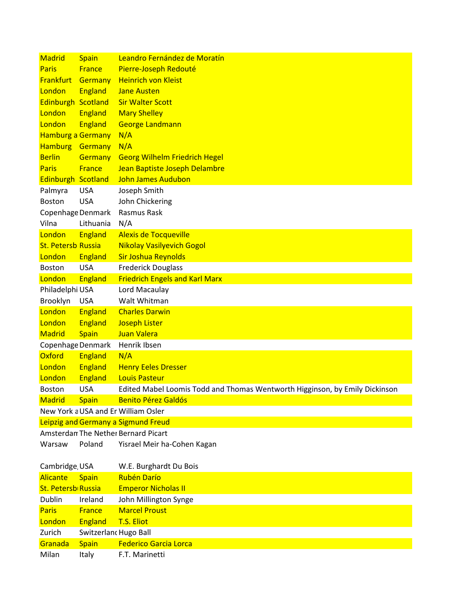| <b>Madrid</b>                 | <b>Spain</b>          | Leandro Fernández de Moratín                                                |
|-------------------------------|-----------------------|-----------------------------------------------------------------------------|
| <b>Paris</b>                  | <b>France</b>         | Pierre-Joseph Redouté                                                       |
| <b>Frankfurt</b>              | <b>Germany</b>        | <b>Heinrich von Kleist</b>                                                  |
| London                        | <b>England</b>        | <b>Jane Austen</b>                                                          |
| Edinburgh Scotland            |                       | <b>Sir Walter Scott</b>                                                     |
| London                        | <b>England</b>        | <b>Mary Shelley</b>                                                         |
| London                        | <b>England</b>        | <b>George Landmann</b>                                                      |
| <b>Hamburg a Germany</b>      |                       | N/A                                                                         |
| <b>Hamburg</b>                | Germany               | N/A                                                                         |
| <b>Berlin</b>                 | <b>Germany</b>        | <b>Georg Wilhelm Friedrich Hegel</b>                                        |
| <b>Paris</b>                  | <b>France</b>         | Jean Baptiste Joseph Delambre                                               |
| Edinburgh Scotland            |                       | <b>John James Audubon</b>                                                   |
| Palmyra                       | <b>USA</b>            | Joseph Smith                                                                |
| <b>Boston</b>                 | <b>USA</b>            | John Chickering                                                             |
| Copenhage Denmark             |                       | Rasmus Rask                                                                 |
| Vilna                         | Lithuania             | N/A                                                                         |
| London                        | <b>England</b>        | <b>Alexis de Tocqueville</b>                                                |
| <b>St. Petersb Russia</b>     |                       | <b>Nikolay Vasilyevich Gogol</b>                                            |
| London                        | <b>England</b>        | Sir Joshua Reynolds                                                         |
| <b>Boston</b>                 | <b>USA</b>            | <b>Frederick Douglass</b>                                                   |
| London                        | <b>England</b>        | <b>Friedrich Engels and Karl Marx</b>                                       |
| Philadelphi USA               |                       | Lord Macaulay                                                               |
| Brooklyn                      | <b>USA</b>            | Walt Whitman                                                                |
| London                        | <b>England</b>        | <b>Charles Darwin</b>                                                       |
| London                        | <b>England</b>        | <b>Joseph Lister</b>                                                        |
| <b>Madrid</b>                 | <b>Spain</b>          | Juan Valera                                                                 |
| Copenhage Denmark             |                       | Henrik Ibsen                                                                |
| Oxford                        | <b>England</b>        | N/A                                                                         |
| London                        | England               | <b>Henry Eeles Dresser</b>                                                  |
| London                        | England               | <b>Louis Pasteur</b>                                                        |
| <b>Boston</b>                 | <b>USA</b>            | Edited Mabel Loomis Todd and Thomas Wentworth Higginson, by Emily Dickinson |
| <b>Madrid</b>                 | <b>Spain</b>          | <b>Benito Pérez Galdós</b>                                                  |
|                               |                       | New York a USA and Er William Osler                                         |
|                               |                       | Leipzig and Germany a Sigmund Freud                                         |
|                               |                       | Amsterdan The Nether Bernard Picart                                         |
| Warsaw                        | Poland                | Yisrael Meir ha-Cohen Kagan                                                 |
| Cambridge, USA                |                       | W.E. Burghardt Du Bois                                                      |
| <b>Alicante</b>               | <b>Spain</b>          | <b>Rubén Darío</b>                                                          |
| St. Petersb <sub>Russia</sub> |                       | <b>Emperor Nicholas II</b>                                                  |
| Dublin                        | Ireland               | John Millington Synge                                                       |
| <b>Paris</b>                  | <b>France</b>         | <b>Marcel Proust</b>                                                        |
| London                        | England               | T.S. Eliot                                                                  |
| Zurich                        | Switzerland Hugo Ball |                                                                             |
| Granada                       | <b>Spain</b>          | <b>Federico Garcia Lorca</b>                                                |
| Milan                         | Italy                 | F.T. Marinetti                                                              |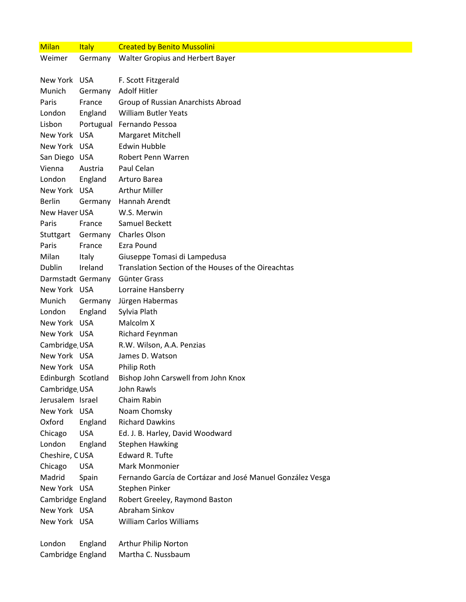| <b>Milan</b>                      | <b>Italy</b> | <b>Created by Benito Mussolini</b>                         |
|-----------------------------------|--------------|------------------------------------------------------------|
| Weimer                            | Germany      | Walter Gropius and Herbert Bayer                           |
| New York USA                      |              | F. Scott Fitzgerald                                        |
| Munich                            | Germany      | <b>Adolf Hitler</b>                                        |
| Paris                             | France       | Group of Russian Anarchists Abroad                         |
| London                            | England      | <b>William Butler Yeats</b>                                |
| Lisbon                            |              | Portugual Fernando Pessoa                                  |
| New York USA                      |              | Margaret Mitchell                                          |
| New York USA                      |              | Edwin Hubble                                               |
| San Diego USA                     |              | Robert Penn Warren                                         |
| Vienna                            | Austria      | Paul Celan                                                 |
| London                            | England      | Arturo Barea                                               |
| New York USA                      |              | <b>Arthur Miller</b>                                       |
| <b>Berlin</b>                     | Germany      | Hannah Arendt                                              |
| New Haver USA                     |              | W.S. Merwin                                                |
| Paris                             | France       | Samuel Beckett                                             |
| Stuttgart                         | Germany      | Charles Olson                                              |
| Paris                             | France       | Ezra Pound                                                 |
| Milan                             | Italy        | Giuseppe Tomasi di Lampedusa                               |
| Dublin                            | Ireland      | Translation Section of the Houses of the Oireachtas        |
| Darmstadt Germany                 |              | Günter Grass                                               |
| New York USA                      |              | Lorraine Hansberry                                         |
| Munich                            | Germany      | Jürgen Habermas                                            |
| London                            | England      | Sylvia Plath                                               |
| New York USA                      |              | Malcolm X                                                  |
| New York USA                      |              | Richard Feynman                                            |
| Cambridge, USA                    |              | R.W. Wilson, A.A. Penzias                                  |
| New York USA                      |              | James D. Watson                                            |
| New York USA                      |              | Philip Roth                                                |
| Edinburgh Scotland                |              | Bishop John Carswell from John Knox                        |
| Cambridge, USA                    |              | John Rawls                                                 |
| Jerusalem Israel                  |              | Chaim Rabin                                                |
| New York USA                      |              | Noam Chomsky                                               |
| Oxford                            | England      | <b>Richard Dawkins</b>                                     |
| Chicago                           | <b>USA</b>   | Ed. J. B. Harley, David Woodward                           |
| London                            | England      | <b>Stephen Hawking</b>                                     |
| Cheshire, CUSA                    |              | <b>Edward R. Tufte</b>                                     |
| Chicago<br>Madrid                 | <b>USA</b>   | Mark Monmonier                                             |
|                                   | Spain        | Fernando García de Cortázar and José Manuel González Vesga |
| New York USA                      |              | Stephen Pinker                                             |
| Cambridge England<br>New York USA |              | Robert Greeley, Raymond Baston<br>Abraham Sinkov           |
| New York USA                      |              | <b>William Carlos Williams</b>                             |
|                                   |              |                                                            |
| London                            | England      | Arthur Philip Norton                                       |
| Cambridge England                 |              | Martha C. Nussbaum                                         |